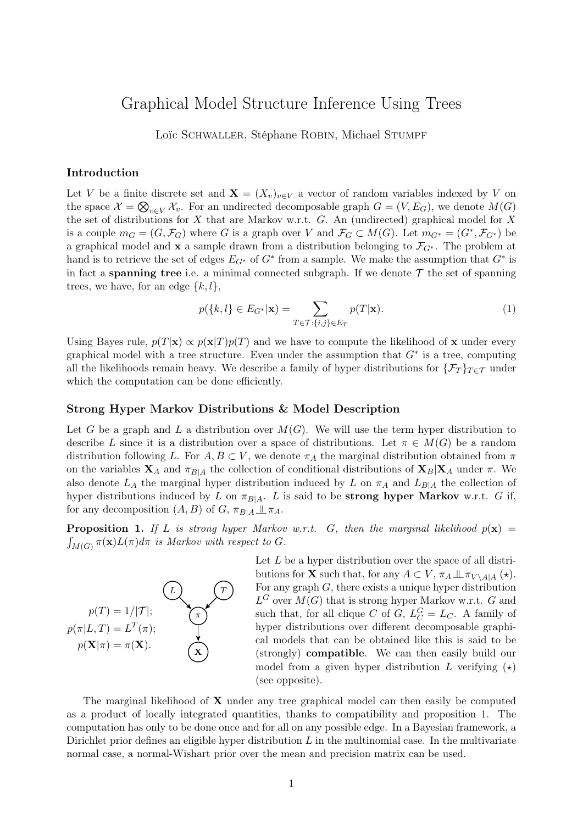# Graphical Model Structure Inference Using Trees

Loïc SCHWALLER, Stéphane ROBIN, Michael STUMPF

### Introduction

Let V be a finite discrete set and  $\mathbf{X} = (X_v)_{v \in V}$  a vector of random variables indexed by V on the space  $\mathcal{X} = \bigotimes_{v \in V} \mathcal{X}_v$ . For an undirected decomposable graph  $G = (V, E_G)$ , we denote  $M(G)$ the set of distributions for  $X$  that are Markov w.r.t.  $G$ . An (undirected) graphical model for  $X$ is a couple  $m_G = (G, \mathcal{F}_G)$  where G is a graph over V and  $\mathcal{F}_G \subset M(G)$ . Let  $m_{G^*} = (G^*, \mathcal{F}_{G^*})$  be a graphical model and x a sample drawn from a distribution belonging to  $\mathcal{F}_{G^*}$ . The problem at hand is to retrieve the set of edges  $E_{G^*}$  of  $G^*$  from a sample. We make the assumption that  $G^*$  is in fact a **spanning tree** i.e. a minimal connected subgraph. If we denote  $\mathcal{T}$  the set of spanning trees, we have, for an edge  $\{k, l\},\$ 

$$
p({k,l}\in E_{G^*}|\mathbf{x}) = \sum_{T \in \mathcal{T}:\{i,j\} \in E_T} p(T|\mathbf{x}).
$$
\n(1)

Using Bayes rule,  $p(T|\mathbf{x}) \propto p(\mathbf{x}|T)p(T)$  and we have to compute the likelihood of x under every graphical model with a tree structure. Even under the assumption that  $G^*$  is a tree, computing all the likelihoods remain heavy. We describe a family of hyper distributions for  $\{\mathcal{F}_T\}_{T \in \mathcal{T}}$  under which the computation can be done efficiently.

#### Strong Hyper Markov Distributions & Model Description

Let G be a graph and L a distribution over  $M(G)$ . We will use the term hyper distribution to describe L since it is a distribution over a space of distributions. Let  $\pi \in M(G)$  be a random distribution following L. For  $A, B \subset V$ , we denote  $\pi_A$  the marginal distribution obtained from  $\pi$ on the variables  $X_A$  and  $\pi_{B|A}$  the collection of conditional distributions of  $X_B|X_A$  under  $\pi$ . We also denote  $L_A$  the marginal hyper distribution induced by L on  $\pi_A$  and  $L_{B|A}$  the collection of hyper distributions induced by L on  $\pi_{B|A}$ . L is said to be **strong hyper Markov** w.r.t. G if, for any decomposition  $(A, B)$  of  $G, \pi_{B|A} \perp \!\!\!\perp \pi_A$ .

**Proposition 1.** If L is strong hyper Markov w.r.t. G, then the marginal likelihood  $p(x)$  =  $\int_{M(G)} \pi(\mathbf{x}) L(\pi) d\pi$  is Markov with respect to G.



Let  $L$  be a hyper distribution over the space of all distributions for **X** such that, for any  $A \subset V$ ,  $\pi_A \perp \pi_{V \setminus A|A} (\star)$ . For any graph  $G$ , there exists a unique hyper distribution  $L^G$  over  $M(G)$  that is strong hyper Markov w.r.t. G and such that, for all clique C of G,  $L_C^G = L_C$ . A family of hyper distributions over different decomposable graphical models that can be obtained like this is said to be (strongly) compatible. We can then easily build our model from a given hyper distribution L verifying  $(\star)$ (see opposite).

The marginal likelihood of  $X$  under any tree graphical model can then easily be computed as a product of locally integrated quantities, thanks to compatibility and proposition 1. The computation has only to be done once and for all on any possible edge. In a Bayesian framework, a Dirichlet prior defines an eligible hyper distribution  $L$  in the multinomial case. In the multivariate normal case, a normal-Wishart prior over the mean and precision matrix can be used.